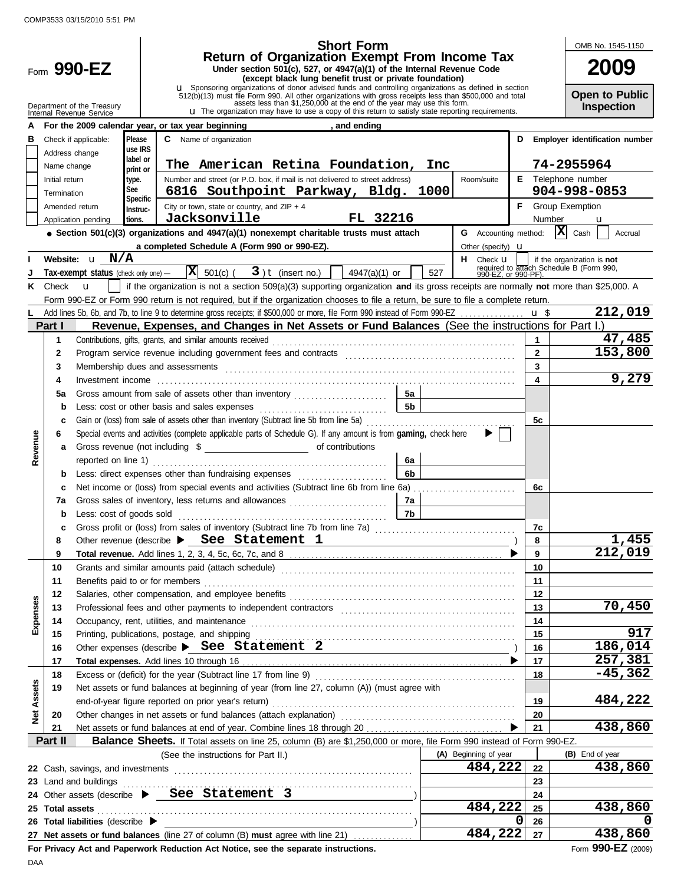$\overline{a}$ 

|                                                                                                                                   |                                                                                                                                            |                                      |                     | <b>Short Form</b>                                                                                                                                                                 |                             |              | OMB No. 1545-1150                                                                             |
|-----------------------------------------------------------------------------------------------------------------------------------|--------------------------------------------------------------------------------------------------------------------------------------------|--------------------------------------|---------------------|-----------------------------------------------------------------------------------------------------------------------------------------------------------------------------------|-----------------------------|--------------|-----------------------------------------------------------------------------------------------|
|                                                                                                                                   |                                                                                                                                            |                                      |                     | <b>Return of Organization Exempt From Income Tax</b>                                                                                                                              |                             |              | <b>2009</b>                                                                                   |
|                                                                                                                                   |                                                                                                                                            | Form 990-EZ                          |                     | Under section 501(c), 527, or 4947(a)(1) of the Internal Revenue Code<br>(except black lung benefit trust or private foundation)                                                  |                             |              |                                                                                               |
|                                                                                                                                   |                                                                                                                                            |                                      |                     | <b>u</b> Sponsoring organizations of donor advised funds and controlling organizations as defined in section                                                                      |                             |              | <b>Open to Public</b>                                                                         |
|                                                                                                                                   |                                                                                                                                            | Department of the Treasury           |                     | $512(b)(13)$ must file Form 990. All other organizations with gross receipts less than \$500,000 and total assets less than \$1,250,000 at the end of the year may use this form. |                             |              | Inspection                                                                                    |
|                                                                                                                                   |                                                                                                                                            | Internal Revenue Service             |                     | <b>u</b> The organization may have to use a copy of this return to satisfy state reporting requirements.                                                                          |                             |              |                                                                                               |
|                                                                                                                                   |                                                                                                                                            |                                      |                     | For the 2009 calendar year, or tax year beginning<br>, and ending                                                                                                                 |                             |              |                                                                                               |
| в                                                                                                                                 |                                                                                                                                            | Check if applicable:                 | Please              | <b>C</b> Name of organization                                                                                                                                                     |                             | D            | <b>Employer identification number</b>                                                         |
|                                                                                                                                   |                                                                                                                                            | Address change                       | use IRS<br>label or |                                                                                                                                                                                   |                             |              |                                                                                               |
|                                                                                                                                   | Name change                                                                                                                                |                                      | print or            | The American Retina Foundation,                                                                                                                                                   | Inc                         |              | 74-2955964                                                                                    |
|                                                                                                                                   | Number and street (or P.O. box, if mail is not delivered to street address)<br>E Telephone number<br>Initial return<br>type.<br>Room/suite |                                      |                     |                                                                                                                                                                                   |                             |              |                                                                                               |
|                                                                                                                                   | Termination                                                                                                                                |                                      | See<br>Specific     | 6816 Southpoint Parkway, Bldg. 1000                                                                                                                                               |                             |              | 904-998-0853                                                                                  |
|                                                                                                                                   |                                                                                                                                            | Amended return                       | Instruc-            | City or town, state or country, and $ZIP + 4$                                                                                                                                     |                             |              | <b>F</b> Group Exemption                                                                      |
|                                                                                                                                   |                                                                                                                                            | Application pending                  | tions.              | Jacksonville<br>FL 32216                                                                                                                                                          |                             | Number       | u                                                                                             |
|                                                                                                                                   |                                                                                                                                            |                                      |                     | $\bullet$ Section 501(c)(3) organizations and 4947(a)(1) nonexempt charitable trusts must attach                                                                                  | <b>G</b> Accounting method: |              | $\mathbf{x}$<br>Cash<br>Accrual                                                               |
|                                                                                                                                   |                                                                                                                                            |                                      |                     | a completed Schedule A (Form 990 or 990-EZ).                                                                                                                                      | Other (specify) <b>u</b>    |              |                                                                                               |
|                                                                                                                                   |                                                                                                                                            | Website: u N/A                       |                     |                                                                                                                                                                                   | H Check <b>u</b>            |              | if the organization is not<br>required to attach Schedule B (Form 990,<br>990-EZ, or 990-PF). |
|                                                                                                                                   |                                                                                                                                            | Tax-exempt status (check only one) - |                     | $ \mathbf{X} $ 501(c) (<br>$3$ ) <b>t</b> (insert no.)<br>$4947(a)(1)$ or                                                                                                         | 527                         |              |                                                                                               |
| Κ                                                                                                                                 | Check                                                                                                                                      | $\mathbf{u}$                         |                     | if the organization is not a section 509(a)(3) supporting organization and its gross receipts are normally not more than \$25,000. A                                              |                             |              |                                                                                               |
|                                                                                                                                   |                                                                                                                                            |                                      |                     | Form 990-EZ or Form 990 return is not required, but if the organization chooses to file a return, be sure to file a complete return.                                              |                             |              |                                                                                               |
|                                                                                                                                   |                                                                                                                                            |                                      |                     | Add lines 5b, 6b, and 7b, to line 9 to determine gross receipts; if \$500,000 or more, file Form 990 instead of Form 990-EZ                                                       |                             | u \$         | 212,019                                                                                       |
|                                                                                                                                   | Part I                                                                                                                                     |                                      |                     | Revenue, Expenses, and Changes in Net Assets or Fund Balances (See the instructions for Part I.)                                                                                  |                             |              |                                                                                               |
|                                                                                                                                   | 1                                                                                                                                          |                                      |                     | Contributions, gifts, grants, and similar amounts received                                                                                                                        |                             | $\mathbf{1}$ | 47,485                                                                                        |
|                                                                                                                                   | $\mathbf{2}$                                                                                                                               |                                      |                     |                                                                                                                                                                                   |                             | $\mathbf{2}$ | 153,800                                                                                       |
|                                                                                                                                   | 3                                                                                                                                          |                                      |                     |                                                                                                                                                                                   |                             | 3            | 9,279                                                                                         |
|                                                                                                                                   | 4                                                                                                                                          |                                      |                     |                                                                                                                                                                                   |                             | 4            |                                                                                               |
|                                                                                                                                   | 5a                                                                                                                                         |                                      |                     |                                                                                                                                                                                   |                             |              |                                                                                               |
|                                                                                                                                   | 5 <sub>b</sub><br>b<br>Gain or (loss) from sale of assets other than inventory (Subtract line 5b from line 5a)<br>c                        |                                      |                     |                                                                                                                                                                                   |                             |              |                                                                                               |
|                                                                                                                                   |                                                                                                                                            |                                      |                     |                                                                                                                                                                                   |                             |              |                                                                                               |
| Special events and activities (complete applicable parts of Schedule G). If any amount is from gaming, check here<br>Revenue<br>6 |                                                                                                                                            |                                      |                     |                                                                                                                                                                                   |                             |              |                                                                                               |
|                                                                                                                                   | a                                                                                                                                          |                                      |                     |                                                                                                                                                                                   |                             |              |                                                                                               |
|                                                                                                                                   |                                                                                                                                            |                                      |                     | reported on line 1) $\ldots$<br>6a<br>6b                                                                                                                                          |                             |              |                                                                                               |
|                                                                                                                                   | b                                                                                                                                          |                                      |                     |                                                                                                                                                                                   |                             |              |                                                                                               |
|                                                                                                                                   | с                                                                                                                                          |                                      |                     | Net income or (loss) from special events and activities (Subtract line 6b from line 6a)                                                                                           |                             | 6с           |                                                                                               |
|                                                                                                                                   | 7a                                                                                                                                         |                                      |                     | Gross sales of inventory, less returns and allowances<br>7a<br>7b                                                                                                                 |                             |              |                                                                                               |
|                                                                                                                                   | b                                                                                                                                          | Less: cost of goods sold             |                     | Gross profit or (loss) from sales of inventory (Subtract line 7b from line 7a)                                                                                                    |                             | 7c           |                                                                                               |
|                                                                                                                                   |                                                                                                                                            |                                      |                     | Other revenue (describe > See Statement 1                                                                                                                                         |                             | 8            | <u>1,455</u>                                                                                  |
|                                                                                                                                   | 9                                                                                                                                          |                                      |                     |                                                                                                                                                                                   |                             | 9            | 212,019                                                                                       |
|                                                                                                                                   | 10                                                                                                                                         |                                      |                     |                                                                                                                                                                                   |                             | 10           |                                                                                               |
|                                                                                                                                   | 11                                                                                                                                         | Benefits paid to or for members      |                     |                                                                                                                                                                                   |                             | 11           |                                                                                               |
|                                                                                                                                   | 12                                                                                                                                         |                                      |                     |                                                                                                                                                                                   |                             | 12           |                                                                                               |
|                                                                                                                                   | 13                                                                                                                                         |                                      |                     |                                                                                                                                                                                   |                             | 13           | 70,450                                                                                        |
| Expenses                                                                                                                          | 14                                                                                                                                         |                                      |                     |                                                                                                                                                                                   |                             | 14           |                                                                                               |
|                                                                                                                                   | 15                                                                                                                                         |                                      |                     | Printing, publications, postage, and shipping                                                                                                                                     |                             | 15           | 917                                                                                           |
|                                                                                                                                   | 16                                                                                                                                         |                                      |                     | Other expenses (describe > See Statement 2                                                                                                                                        |                             | 16           | 186,014                                                                                       |
|                                                                                                                                   | 17                                                                                                                                         |                                      |                     |                                                                                                                                                                                   |                             | 17           | 257,381                                                                                       |
|                                                                                                                                   | 18                                                                                                                                         |                                      |                     |                                                                                                                                                                                   |                             | 18           | $-45,362$                                                                                     |
|                                                                                                                                   | 19                                                                                                                                         |                                      |                     | Net assets or fund balances at beginning of year (from line 27, column (A)) (must agree with                                                                                      |                             |              |                                                                                               |
| Assets                                                                                                                            |                                                                                                                                            |                                      |                     | end-of-year figure reported on prior year's return)                                                                                                                               |                             | 19           | 484,222                                                                                       |
| ğ                                                                                                                                 | 20                                                                                                                                         |                                      |                     |                                                                                                                                                                                   |                             | 20           |                                                                                               |
|                                                                                                                                   | 21                                                                                                                                         |                                      |                     |                                                                                                                                                                                   |                             | 21           | 438,860                                                                                       |
|                                                                                                                                   | Part II                                                                                                                                    |                                      |                     | Balance Sheets. If Total assets on line 25, column (B) are \$1,250,000 or more, file Form 990 instead of Form 990-EZ.                                                             |                             |              |                                                                                               |
|                                                                                                                                   |                                                                                                                                            |                                      |                     | (See the instructions for Part II.)                                                                                                                                               | (A) Beginning of year       |              | (B) End of year                                                                               |
| 484,222<br>22 Cash, savings, and investments<br>22                                                                                |                                                                                                                                            |                                      |                     |                                                                                                                                                                                   | 438,860                     |              |                                                                                               |
|                                                                                                                                   |                                                                                                                                            |                                      |                     |                                                                                                                                                                                   |                             | 23           |                                                                                               |
|                                                                                                                                   |                                                                                                                                            |                                      |                     | 24 Other assets (describe $\triangleright$ <u>See Statement</u> 3                                                                                                                 |                             | 24           |                                                                                               |
|                                                                                                                                   | 25 Total assets                                                                                                                            |                                      |                     |                                                                                                                                                                                   | 484,222                     | 25           | 438,860                                                                                       |
|                                                                                                                                   |                                                                                                                                            | 26 Total liabilities (describe >     |                     |                                                                                                                                                                                   |                             | 0<br>26      |                                                                                               |
|                                                                                                                                   |                                                                                                                                            |                                      |                     | 27 Net assets or fund balances (line 27 of column (B) must agree with line 21)                                                                                                    | $484, 222$ $27$             |              | 438,860                                                                                       |

**For Privacy Act and Paperwork Reduction Act Notice, see the separate instructions.**

J.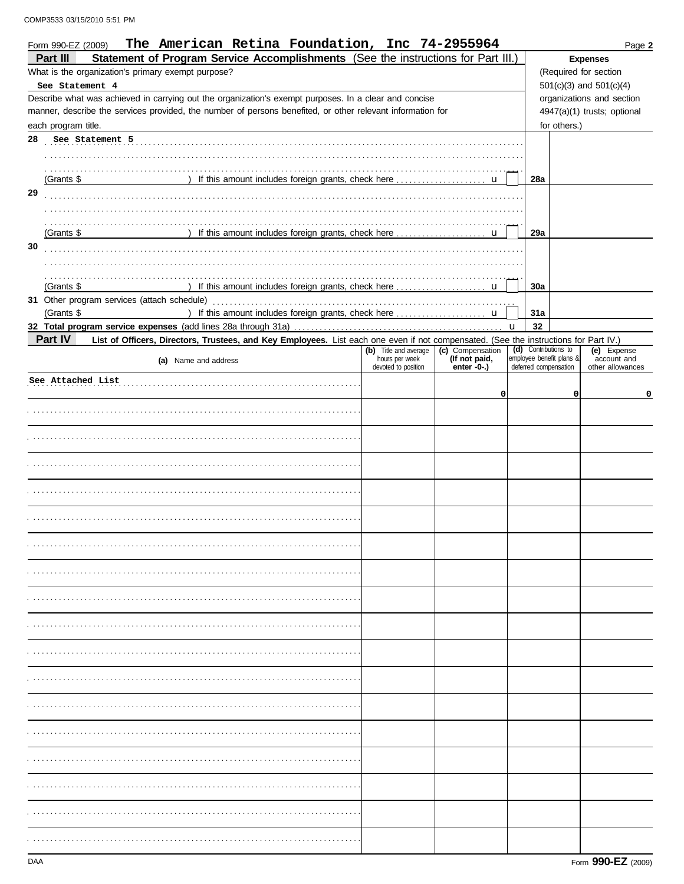|    | The American Retina Foundation, Inc 74-2955964<br>Form 990-EZ (2009)                                                                                                                                                |                                        |                              |   |     |                                                   |                                 | Page 2 |
|----|---------------------------------------------------------------------------------------------------------------------------------------------------------------------------------------------------------------------|----------------------------------------|------------------------------|---|-----|---------------------------------------------------|---------------------------------|--------|
|    | Statement of Program Service Accomplishments (See the instructions for Part III.)<br>Part III                                                                                                                       |                                        |                              |   |     |                                                   | <b>Expenses</b>                 |        |
|    | What is the organization's primary exempt purpose?                                                                                                                                                                  |                                        |                              |   |     |                                                   | (Required for section           |        |
|    | See Statement 4                                                                                                                                                                                                     |                                        |                              |   |     |                                                   | 501(c)(3) and 501(c)(4)         |        |
|    | Describe what was achieved in carrying out the organization's exempt purposes. In a clear and concise<br>manner, describe the services provided, the number of persons benefited, or other relevant information for |                                        |                              |   |     |                                                   | organizations and section       |        |
|    | each program title.                                                                                                                                                                                                 |                                        |                              |   |     | for others.)                                      | 4947(a)(1) trusts; optional     |        |
| 28 | See Statement 5                                                                                                                                                                                                     |                                        |                              |   |     |                                                   |                                 |        |
|    |                                                                                                                                                                                                                     |                                        |                              |   |     |                                                   |                                 |        |
|    |                                                                                                                                                                                                                     |                                        |                              |   |     |                                                   |                                 |        |
|    | (Grants \$                                                                                                                                                                                                          |                                        |                              |   | 28a |                                                   |                                 |        |
| 29 |                                                                                                                                                                                                                     |                                        |                              |   |     |                                                   |                                 |        |
|    |                                                                                                                                                                                                                     |                                        |                              |   |     |                                                   |                                 |        |
|    | (Grants \$                                                                                                                                                                                                          |                                        |                              |   | 29a |                                                   |                                 |        |
| 30 |                                                                                                                                                                                                                     |                                        |                              |   |     |                                                   |                                 |        |
|    |                                                                                                                                                                                                                     |                                        |                              |   |     |                                                   |                                 |        |
|    |                                                                                                                                                                                                                     |                                        |                              |   |     |                                                   |                                 |        |
|    | (Grants $$$                                                                                                                                                                                                         |                                        |                              |   | 30a |                                                   |                                 |        |
|    |                                                                                                                                                                                                                     |                                        |                              |   |     |                                                   |                                 |        |
|    | (Grants \$                                                                                                                                                                                                          |                                        |                              |   | 31a |                                                   |                                 |        |
|    | Part IV<br>List of Officers, Directors, Trustees, and Key Employees. List each one even if not compensated. (See the instructions for Part IV.)                                                                     |                                        |                              | u | 32  |                                                   |                                 |        |
|    |                                                                                                                                                                                                                     | (b) Title and average (c) Compensation |                              |   |     | (d) Contributions to                              | (e) Expense                     |        |
|    | (a) Name and address                                                                                                                                                                                                | hours per week<br>devoted to position  | (If not paid,<br>enter -0-.) |   |     | employee benefit plans &<br>deferred compensation | account and<br>other allowances |        |
|    | See Attached List                                                                                                                                                                                                   |                                        |                              |   |     |                                                   |                                 |        |
|    |                                                                                                                                                                                                                     |                                        | 0                            |   |     | 0                                                 |                                 | 0      |
|    |                                                                                                                                                                                                                     |                                        |                              |   |     |                                                   |                                 |        |
|    |                                                                                                                                                                                                                     |                                        |                              |   |     |                                                   |                                 |        |
|    |                                                                                                                                                                                                                     |                                        |                              |   |     |                                                   |                                 |        |
|    |                                                                                                                                                                                                                     |                                        |                              |   |     |                                                   |                                 |        |
|    |                                                                                                                                                                                                                     |                                        |                              |   |     |                                                   |                                 |        |
|    |                                                                                                                                                                                                                     |                                        |                              |   |     |                                                   |                                 |        |
|    |                                                                                                                                                                                                                     |                                        |                              |   |     |                                                   |                                 |        |
|    |                                                                                                                                                                                                                     |                                        |                              |   |     |                                                   |                                 |        |
|    |                                                                                                                                                                                                                     |                                        |                              |   |     |                                                   |                                 |        |
|    |                                                                                                                                                                                                                     |                                        |                              |   |     |                                                   |                                 |        |
|    |                                                                                                                                                                                                                     |                                        |                              |   |     |                                                   |                                 |        |
|    |                                                                                                                                                                                                                     |                                        |                              |   |     |                                                   |                                 |        |
|    |                                                                                                                                                                                                                     |                                        |                              |   |     |                                                   |                                 |        |
|    |                                                                                                                                                                                                                     |                                        |                              |   |     |                                                   |                                 |        |
|    |                                                                                                                                                                                                                     |                                        |                              |   |     |                                                   |                                 |        |
|    |                                                                                                                                                                                                                     |                                        |                              |   |     |                                                   |                                 |        |
|    |                                                                                                                                                                                                                     |                                        |                              |   |     |                                                   |                                 |        |
|    |                                                                                                                                                                                                                     |                                        |                              |   |     |                                                   |                                 |        |
|    |                                                                                                                                                                                                                     |                                        |                              |   |     |                                                   |                                 |        |
|    |                                                                                                                                                                                                                     |                                        |                              |   |     |                                                   |                                 |        |
|    |                                                                                                                                                                                                                     |                                        |                              |   |     |                                                   |                                 |        |
|    |                                                                                                                                                                                                                     |                                        |                              |   |     |                                                   |                                 |        |
|    |                                                                                                                                                                                                                     |                                        |                              |   |     |                                                   |                                 |        |
|    |                                                                                                                                                                                                                     |                                        |                              |   |     |                                                   |                                 |        |
|    |                                                                                                                                                                                                                     |                                        |                              |   |     |                                                   |                                 |        |
|    |                                                                                                                                                                                                                     |                                        |                              |   |     |                                                   |                                 |        |
|    |                                                                                                                                                                                                                     |                                        |                              |   |     |                                                   |                                 |        |
|    |                                                                                                                                                                                                                     |                                        |                              |   |     |                                                   |                                 |        |
|    |                                                                                                                                                                                                                     |                                        |                              |   |     |                                                   |                                 |        |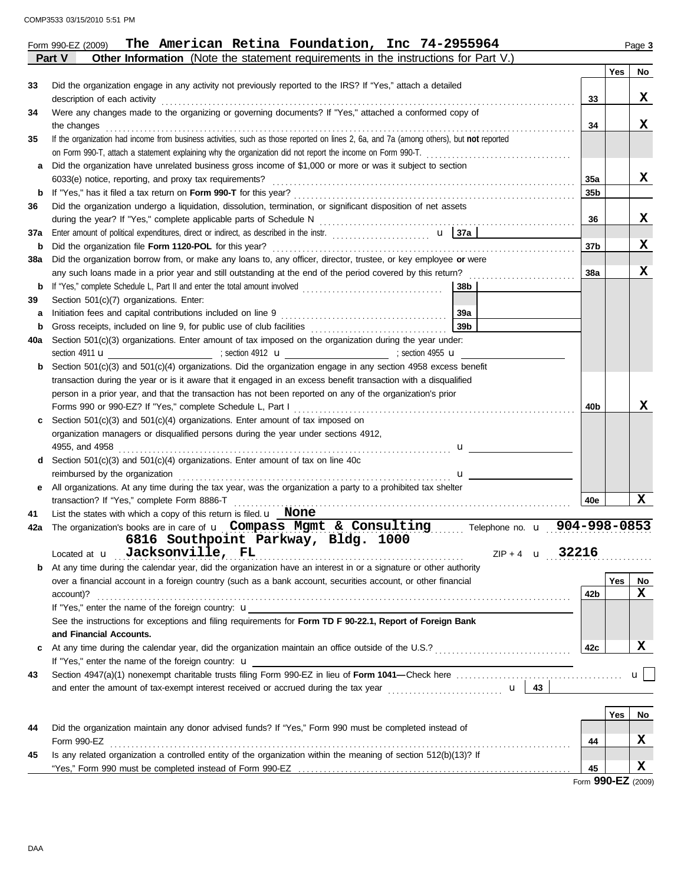|     | Part V<br><b>Other Information</b> (Note the statement requirements in the instructions for Part V.)                                    |       |            |              |
|-----|-----------------------------------------------------------------------------------------------------------------------------------------|-------|------------|--------------|
|     |                                                                                                                                         |       | Yes        | No           |
| 33  | Did the organization engage in any activity not previously reported to the IRS? If "Yes," attach a detailed                             |       |            |              |
|     | description of each activity                                                                                                            | 33    |            | X            |
| 34  | Were any changes made to the organizing or governing documents? If "Yes," attached a conformed copy of                                  |       |            |              |
|     | the changes                                                                                                                             | 34    |            | X            |
| 35  | If the organization had income from business activities, such as those reported on lines 2, 6a, and 7a (among others), but not reported |       |            |              |
|     | on Form 990-T, attach a statement explaining why the organization did not report the income on Form 990-T.                              |       |            |              |
|     | Did the organization have unrelated business gross income of \$1,000 or more or was it subject to section                               |       |            |              |
|     | 6033(e) notice, reporting, and proxy tax requirements?                                                                                  | 35a   |            | X            |
| b   |                                                                                                                                         | 35b   |            |              |
| 36  | Did the organization undergo a liquidation, dissolution, termination, or significant disposition of net assets                          |       |            |              |
|     |                                                                                                                                         | 36    |            | X            |
| 37a | Enter amount of political expenditures, direct or indirect, as described in the instr.                                                  |       |            |              |
| b   | Did the organization file Form 1120-POL for this year?                                                                                  | 37b   |            | X            |
| 38a | Did the organization borrow from, or make any loans to, any officer, director, trustee, or key employee or were                         |       |            |              |
|     | any such loans made in a prior year and still outstanding at the end of the period covered by this return?                              | 38a   |            | X            |
| b   | If "Yes," complete Schedule L, Part II and enter the total amount involved<br>38b                                                       |       |            |              |
| 39  | Section 501(c)(7) organizations. Enter:                                                                                                 |       |            |              |
| a   | Initiation fees and capital contributions included on line 9<br>39a                                                                     |       |            |              |
| b   | 39 <sub>b</sub>                                                                                                                         |       |            |              |
| 40a | Section 501(c)(3) organizations. Enter amount of tax imposed on the organization during the year under:                                 |       |            |              |
|     | section 4911 $\mathbf{u}$ / section 4912 $\mathbf{u}$ / section 4912 $\mathbf{u}$ / section 4955 $\mathbf{u}$                           |       |            |              |
|     | Section 501(c)(3) and 501(c)(4) organizations. Did the organization engage in any section 4958 excess benefit                           |       |            |              |
|     | transaction during the year or is it aware that it engaged in an excess benefit transaction with a disqualified                         |       |            |              |
|     | person in a prior year, and that the transaction has not been reported on any of the organization's prior                               |       |            |              |
|     |                                                                                                                                         | 40b   |            | X            |
|     | Section 501(c)(3) and 501(c)(4) organizations. Enter amount of tax imposed on                                                           |       |            |              |
|     | organization managers or disqualified persons during the year under sections 4912,                                                      |       |            |              |
|     | 4955, and 4958<br>$\mathbf{u}$                                                                                                          |       |            |              |
|     | Section $501(c)(3)$ and $501(c)(4)$ organizations. Enter amount of tax on line 40c                                                      |       |            |              |
|     | reimbursed by the organization<br>$\mathbf{u}$ and $\mathbf{u}$                                                                         |       |            |              |
| е   | All organizations. At any time during the tax year, was the organization a party to a prohibited tax shelter                            |       |            |              |
|     | transaction? If "Yes," complete Form 8886-T                                                                                             | 40e   |            | X            |
| 41  | List the states with which a copy of this return is filed. $\mathbf{u}$ None                                                            |       |            |              |
| 42a | The organization's books are in care of $\bf{u}$ Compass Mgmt & Consulting<br>Telephone no. u 904-998-0853                              |       |            |              |
|     | 6816 Southpoint Parkway, Bldg. 1000                                                                                                     |       |            |              |
|     | Located at <b>u</b> Jacksonville, FL<br>ZIP + 4 <b>u</b>                                                                                | 32216 |            |              |
| b   | At any time during the calendar year, did the organization have an interest in or a signature or other authority                        |       |            |              |
|     | over a financial account in a foreign country (such as a bank account, securities account, or other financial                           |       | <b>Yes</b> | No           |
|     | account)?                                                                                                                               | 42b   |            | x            |
|     | If "Yes," enter the name of the foreign country: $\mathbf u$                                                                            |       |            |              |
|     | See the instructions for exceptions and filing requirements for Form TD F 90-22.1, Report of Foreign Bank                               |       |            |              |
|     | and Financial Accounts.                                                                                                                 |       |            |              |
| c   |                                                                                                                                         | 42c   |            | x            |
|     | If "Yes," enter the name of the foreign country: <b>u</b>                                                                               |       |            |              |
| 43  |                                                                                                                                         |       |            | $\mathbf{u}$ |
|     |                                                                                                                                         |       |            |              |
|     |                                                                                                                                         |       |            |              |
|     |                                                                                                                                         |       | Yes        | No           |
| 44  | Did the organization maintain any donor advised funds? If "Yes," Form 990 must be completed instead of                                  |       |            |              |
|     | Form 990-EZ                                                                                                                             | 44    |            | X            |
| 45  | Is any related organization a controlled entity of the organization within the meaning of section 512(b)(13)? If                        |       |            |              |
|     |                                                                                                                                         | 45    |            | X            |

Form **990-EZ** (2009)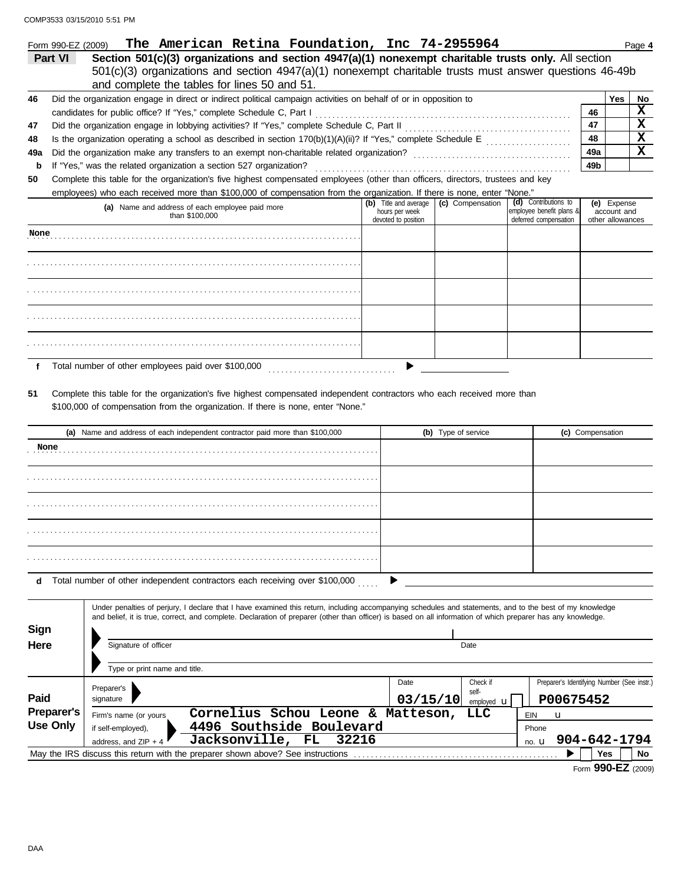COMP3533 03/15/2010 5:51 PM

|                 | The American Retina Foundation, Inc 74-2955964<br>Form 990-EZ (2009)                                                                                                                                                                                                                                                     |                                                                |          |                     |                                                                           |                                                | Page 4                  |
|-----------------|--------------------------------------------------------------------------------------------------------------------------------------------------------------------------------------------------------------------------------------------------------------------------------------------------------------------------|----------------------------------------------------------------|----------|---------------------|---------------------------------------------------------------------------|------------------------------------------------|-------------------------|
|                 | Section 501(c)(3) organizations and section 4947(a)(1) nonexempt charitable trusts only. All section<br>Part VI                                                                                                                                                                                                          |                                                                |          |                     |                                                                           |                                                |                         |
|                 | 501(c)(3) organizations and section 4947(a)(1) nonexempt charitable trusts must answer questions 46-49b                                                                                                                                                                                                                  |                                                                |          |                     |                                                                           |                                                |                         |
|                 | and complete the tables for lines 50 and 51.                                                                                                                                                                                                                                                                             |                                                                |          |                     |                                                                           |                                                |                         |
| 46              | Did the organization engage in direct or indirect political campaign activities on behalf of or in opposition to                                                                                                                                                                                                         |                                                                |          |                     |                                                                           | Yes                                            | No                      |
|                 | candidates for public office? If "Yes," complete Schedule C, Part I                                                                                                                                                                                                                                                      |                                                                |          |                     |                                                                           | 46                                             | X                       |
| 47              |                                                                                                                                                                                                                                                                                                                          |                                                                |          |                     |                                                                           | 47                                             | $\overline{\mathbf{x}}$ |
| 48              | Is the organization operating a school as described in section 170(b)(1)(A)(ii)? If "Yes," complete Schedule E                                                                                                                                                                                                           |                                                                |          |                     |                                                                           | 48                                             | $\mathbf x$             |
| 49a             |                                                                                                                                                                                                                                                                                                                          |                                                                |          |                     |                                                                           | 49a                                            | $\mathbf x$             |
| b               | If "Yes," was the related organization a section 527 organization?                                                                                                                                                                                                                                                       |                                                                |          |                     |                                                                           | 49b                                            |                         |
| 50              | Complete this table for the organization's five highest compensated employees (other than officers, directors, trustees and key                                                                                                                                                                                          |                                                                |          |                     |                                                                           |                                                |                         |
|                 | employees) who each received more than \$100,000 of compensation from the organization. If there is none, enter "None."                                                                                                                                                                                                  |                                                                |          |                     |                                                                           |                                                |                         |
|                 | (a) Name and address of each employee paid more<br>than \$100,000                                                                                                                                                                                                                                                        | (b) Title and average<br>hours per week<br>devoted to position |          | (c) Compensation    | (d) Contributions to<br>employee benefit plans &<br>deferred compensation | (e) Expense<br>account and<br>other allowances |                         |
| None            |                                                                                                                                                                                                                                                                                                                          |                                                                |          |                     |                                                                           |                                                |                         |
|                 |                                                                                                                                                                                                                                                                                                                          |                                                                |          |                     |                                                                           |                                                |                         |
|                 |                                                                                                                                                                                                                                                                                                                          |                                                                |          |                     |                                                                           |                                                |                         |
|                 |                                                                                                                                                                                                                                                                                                                          |                                                                |          |                     |                                                                           |                                                |                         |
|                 |                                                                                                                                                                                                                                                                                                                          |                                                                |          |                     |                                                                           |                                                |                         |
| f               | Total number of other employees paid over \$100,000                                                                                                                                                                                                                                                                      |                                                                |          |                     |                                                                           |                                                |                         |
|                 | (a) Name and address of each independent contractor paid more than \$100,000                                                                                                                                                                                                                                             |                                                                |          | (b) Type of service |                                                                           | (c) Compensation                               |                         |
| None            |                                                                                                                                                                                                                                                                                                                          |                                                                |          |                     |                                                                           |                                                |                         |
|                 |                                                                                                                                                                                                                                                                                                                          |                                                                |          |                     |                                                                           |                                                |                         |
|                 |                                                                                                                                                                                                                                                                                                                          |                                                                |          |                     |                                                                           |                                                |                         |
|                 |                                                                                                                                                                                                                                                                                                                          |                                                                |          |                     |                                                                           |                                                |                         |
|                 |                                                                                                                                                                                                                                                                                                                          |                                                                |          |                     |                                                                           |                                                |                         |
| d               | Total number of other independent contractors each receiving over \$100,000                                                                                                                                                                                                                                              |                                                                |          |                     |                                                                           |                                                |                         |
| Sign            | Under penalties of perjury, I declare that I have examined this return, including accompanying schedules and statements, and to the best of my knowledge<br>and belief, it is true, correct, and complete. Declaration of preparer (other than officer) is based on all information of which preparer has any knowledge. |                                                                |          |                     |                                                                           |                                                |                         |
| Here            | Signature of officer                                                                                                                                                                                                                                                                                                     |                                                                |          | Date                |                                                                           |                                                |                         |
|                 |                                                                                                                                                                                                                                                                                                                          |                                                                |          |                     |                                                                           |                                                |                         |
|                 | Type or print name and title.                                                                                                                                                                                                                                                                                            |                                                                |          |                     |                                                                           |                                                |                         |
|                 |                                                                                                                                                                                                                                                                                                                          | Date                                                           |          | Check if            |                                                                           | Preparer's Identifying Number (See instr.)     |                         |
| Paid            | Preparer's<br>signature                                                                                                                                                                                                                                                                                                  |                                                                |          | self-               |                                                                           |                                                |                         |
|                 | <b>Preparer's</b>                                                                                                                                                                                                                                                                                                        |                                                                | 03/15/10 | employed <b>u</b>   | P00675452                                                                 |                                                |                         |
| <b>Use Only</b> | Cornelius Schou Leone & Matteson,<br>Firm's name (or yours                                                                                                                                                                                                                                                               |                                                                |          | LLC                 | EIN<br>u                                                                  |                                                |                         |
|                 | 4496 Southside Boulevard<br>if self-employed),<br>Phone<br>32216                                                                                                                                                                                                                                                         |                                                                |          |                     |                                                                           |                                                |                         |
|                 | Jacksonville, FL<br>address, and $ZIP + 4$                                                                                                                                                                                                                                                                               |                                                                |          |                     | no. $\mathbf u$                                                           | 904-642-1794                                   |                         |
|                 | May the IRS discuss this return with the preparer shown above? See instructions                                                                                                                                                                                                                                          |                                                                |          |                     |                                                                           | Yes<br>Form 990-EZ (2009)                      | No.                     |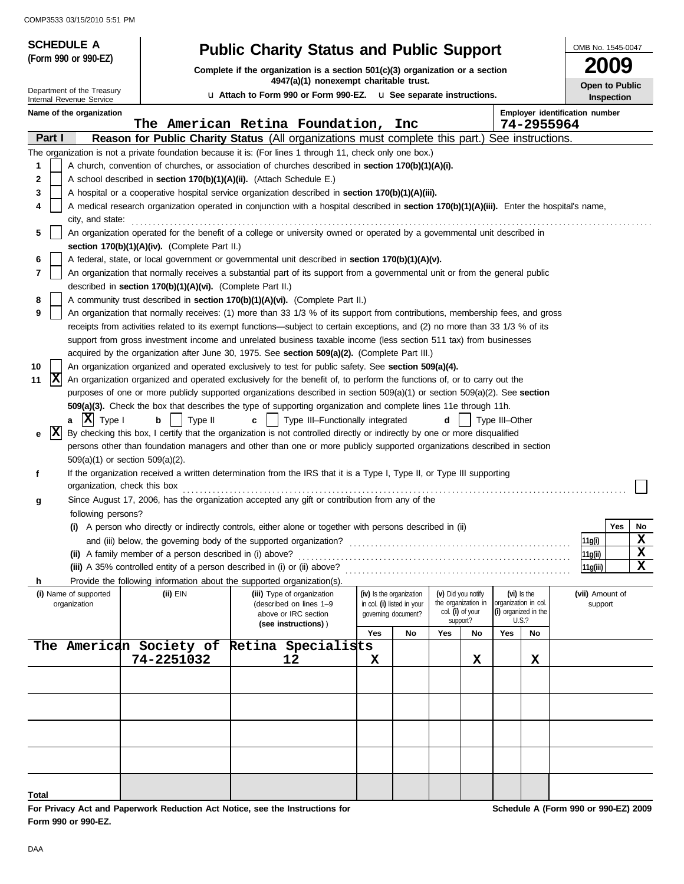COMP3533 03/15/2010 5:51 PM

| <b>SCHEDULE A</b>                                    |                                                                      | <b>Public Charity Status and Public Support</b>                                                                                                                                                                                                       |            |                                                   |                                           |    |                |                                     | OMB No. 1545-0047                    |
|------------------------------------------------------|----------------------------------------------------------------------|-------------------------------------------------------------------------------------------------------------------------------------------------------------------------------------------------------------------------------------------------------|------------|---------------------------------------------------|-------------------------------------------|----|----------------|-------------------------------------|--------------------------------------|
| (Form 990 or 990-EZ)                                 |                                                                      | Complete if the organization is a section $501(c)(3)$ organization or a section                                                                                                                                                                       |            |                                                   |                                           |    |                |                                     | 2009                                 |
| Department of the Treasury                           |                                                                      | 4947(a)(1) nonexempt charitable trust.<br>u Attach to Form 990 or Form 990-EZ. u See separate instructions.                                                                                                                                           |            |                                                   |                                           |    |                |                                     | <b>Open to Public</b><br>Inspection  |
| Internal Revenue Service<br>Name of the organization |                                                                      |                                                                                                                                                                                                                                                       |            |                                                   |                                           |    |                |                                     | Employer identification number       |
| Part I                                               |                                                                      | The American Retina Foundation,<br>Reason for Public Charity Status (All organizations must complete this part.) See instructions.                                                                                                                    |            | Inc                                               |                                           |    |                |                                     | 74-2955964                           |
|                                                      |                                                                      | The organization is not a private foundation because it is: (For lines 1 through 11, check only one box.)                                                                                                                                             |            |                                                   |                                           |    |                |                                     |                                      |
| 1                                                    |                                                                      | A church, convention of churches, or association of churches described in section 170(b)(1)(A)(i).                                                                                                                                                    |            |                                                   |                                           |    |                |                                     |                                      |
| 2                                                    | A school described in section 170(b)(1)(A)(ii). (Attach Schedule E.) |                                                                                                                                                                                                                                                       |            |                                                   |                                           |    |                |                                     |                                      |
| 3                                                    |                                                                      | A hospital or a cooperative hospital service organization described in section 170(b)(1)(A)(iii).                                                                                                                                                     |            |                                                   |                                           |    |                |                                     |                                      |
| 4<br>city, and state:                                |                                                                      | A medical research organization operated in conjunction with a hospital described in section 170(b)(1)(A)(iii). Enter the hospital's name,                                                                                                            |            |                                                   |                                           |    |                |                                     |                                      |
| 5                                                    | section 170(b)(1)(A)(iv). (Complete Part II.)                        | An organization operated for the benefit of a college or university owned or operated by a governmental unit described in                                                                                                                             |            |                                                   |                                           |    |                |                                     |                                      |
| 6                                                    |                                                                      | A federal, state, or local government or governmental unit described in section 170(b)(1)(A)(v).                                                                                                                                                      |            |                                                   |                                           |    |                |                                     |                                      |
| 7                                                    |                                                                      | An organization that normally receives a substantial part of its support from a governmental unit or from the general public                                                                                                                          |            |                                                   |                                           |    |                |                                     |                                      |
|                                                      | described in section 170(b)(1)(A)(vi). (Complete Part II.)           |                                                                                                                                                                                                                                                       |            |                                                   |                                           |    |                |                                     |                                      |
| 8                                                    |                                                                      | A community trust described in section 170(b)(1)(A)(vi). (Complete Part II.)                                                                                                                                                                          |            |                                                   |                                           |    |                |                                     |                                      |
| 9                                                    |                                                                      | An organization that normally receives: (1) more than 33 1/3 % of its support from contributions, membership fees, and gross                                                                                                                          |            |                                                   |                                           |    |                |                                     |                                      |
|                                                      |                                                                      | receipts from activities related to its exempt functions—subject to certain exceptions, and (2) no more than 33 1/3 % of its                                                                                                                          |            |                                                   |                                           |    |                |                                     |                                      |
|                                                      |                                                                      | support from gross investment income and unrelated business taxable income (less section 511 tax) from businesses                                                                                                                                     |            |                                                   |                                           |    |                |                                     |                                      |
|                                                      |                                                                      | acquired by the organization after June 30, 1975. See section 509(a)(2). (Complete Part III.)                                                                                                                                                         |            |                                                   |                                           |    |                |                                     |                                      |
| 10                                                   |                                                                      | An organization organized and operated exclusively to test for public safety. See section 509(a)(4).                                                                                                                                                  |            |                                                   |                                           |    |                |                                     |                                      |
| X<br>11                                              |                                                                      | An organization organized and operated exclusively for the benefit of, to perform the functions of, or to carry out the                                                                                                                               |            |                                                   |                                           |    |                |                                     |                                      |
|                                                      |                                                                      | purposes of one or more publicly supported organizations described in section $509(a)(1)$ or section $509(a)(2)$ . See section                                                                                                                        |            |                                                   |                                           |    |                |                                     |                                      |
| $ \mathbf{X} $ Type I                                |                                                                      | 509(a)(3). Check the box that describes the type of supporting organization and complete lines 11e through 11h.                                                                                                                                       |            |                                                   |                                           |    |                |                                     |                                      |
| a<br>X                                               | Type II<br>b                                                         | Type III-Functionally integrated<br>C                                                                                                                                                                                                                 |            |                                                   | d                                         |    | Type III-Other |                                     |                                      |
| е                                                    |                                                                      | By checking this box, I certify that the organization is not controlled directly or indirectly by one or more disqualified<br>persons other than foundation managers and other than one or more publicly supported organizations described in section |            |                                                   |                                           |    |                |                                     |                                      |
|                                                      | 509(a)(1) or section 509(a)(2).                                      |                                                                                                                                                                                                                                                       |            |                                                   |                                           |    |                |                                     |                                      |
| f                                                    |                                                                      | If the organization received a written determination from the IRS that it is a Type I, Type II, or Type III supporting                                                                                                                                |            |                                                   |                                           |    |                |                                     |                                      |
|                                                      | organization, check this box                                         |                                                                                                                                                                                                                                                       |            |                                                   |                                           |    |                |                                     |                                      |
| g                                                    |                                                                      | Since August 17, 2006, has the organization accepted any gift or contribution from any of the                                                                                                                                                         |            |                                                   |                                           |    |                |                                     |                                      |
| following persons?                                   |                                                                      |                                                                                                                                                                                                                                                       |            |                                                   |                                           |    |                |                                     |                                      |
|                                                      |                                                                      | (i) A person who directly or indirectly controls, either alone or together with persons described in (ii)                                                                                                                                             |            |                                                   |                                           |    |                |                                     | Yes<br>No                            |
|                                                      |                                                                      | and (iii) below, the governing body of the supported organization?                                                                                                                                                                                    |            |                                                   |                                           |    |                |                                     | $\mathbf x$<br>11g(i)                |
|                                                      | (ii) A family member of a person described in (i) above?             |                                                                                                                                                                                                                                                       |            |                                                   |                                           |    |                |                                     | X<br>11g(ii)                         |
|                                                      |                                                                      | (iii) A 35% controlled entity of a person described in (i) or (ii) above?                                                                                                                                                                             |            |                                                   |                                           |    |                |                                     | X<br>11q(iii)                        |
| h                                                    |                                                                      | Provide the following information about the supported organization(s).                                                                                                                                                                                |            |                                                   |                                           |    |                |                                     |                                      |
| (i) Name of supported<br>organization                | $(ii)$ EIN                                                           | (iii) Type of organization                                                                                                                                                                                                                            |            | (iv) Is the organization                          | (v) Did you notify<br>the organization in |    |                | (vi) Is the<br>organization in col. | (vii) Amount of                      |
|                                                      |                                                                      | (described on lines 1-9<br>above or IRC section                                                                                                                                                                                                       |            | in col. (i) listed in your<br>governing document? | col. (i) of your                          |    |                | (i) organized in the                | support                              |
|                                                      |                                                                      | (see instructions))                                                                                                                                                                                                                                   | <b>Yes</b> | No                                                | support?<br>Yes                           | No | Yes            | U.S.?<br>No                         |                                      |
|                                                      |                                                                      | The American Society of Retina Specialists                                                                                                                                                                                                            |            |                                                   |                                           |    |                |                                     |                                      |
|                                                      | 74-2251032                                                           | 12                                                                                                                                                                                                                                                    | X          |                                                   |                                           | х  |                | х                                   |                                      |
|                                                      |                                                                      |                                                                                                                                                                                                                                                       |            |                                                   |                                           |    |                |                                     |                                      |
|                                                      |                                                                      |                                                                                                                                                                                                                                                       |            |                                                   |                                           |    |                |                                     |                                      |
|                                                      |                                                                      |                                                                                                                                                                                                                                                       |            |                                                   |                                           |    |                |                                     |                                      |
|                                                      |                                                                      |                                                                                                                                                                                                                                                       |            |                                                   |                                           |    |                |                                     |                                      |
|                                                      |                                                                      |                                                                                                                                                                                                                                                       |            |                                                   |                                           |    |                |                                     |                                      |
|                                                      |                                                                      |                                                                                                                                                                                                                                                       |            |                                                   |                                           |    |                |                                     |                                      |
|                                                      |                                                                      |                                                                                                                                                                                                                                                       |            |                                                   |                                           |    |                |                                     |                                      |
|                                                      |                                                                      |                                                                                                                                                                                                                                                       |            |                                                   |                                           |    |                |                                     |                                      |
| Total                                                |                                                                      |                                                                                                                                                                                                                                                       |            |                                                   |                                           |    |                |                                     |                                      |
|                                                      |                                                                      | For Privacy Act and Paperwork Reduction Act Notice, see the Instructions for                                                                                                                                                                          |            |                                                   |                                           |    |                |                                     | Schedule A (Form 990 or 990-EZ) 2009 |

**Form 990 or 990-EZ.**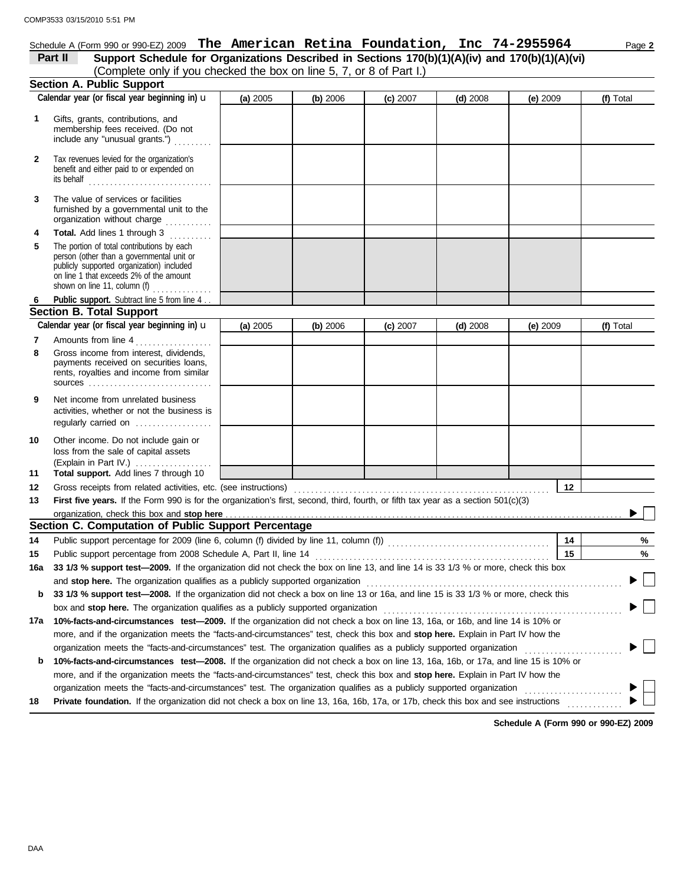|              | Schedule A (Form 990 or 990-EZ) 2009 The American Retina Foundation, Inc $74-2955964$                                                                                                                             |          |          |          |            |          | Page 2    |
|--------------|-------------------------------------------------------------------------------------------------------------------------------------------------------------------------------------------------------------------|----------|----------|----------|------------|----------|-----------|
|              | Support Schedule for Organizations Described in Sections 170(b)(1)(A)(iv) and 170(b)(1)(A)(vi)<br>Part II                                                                                                         |          |          |          |            |          |           |
|              | (Complete only if you checked the box on line 5, 7, or 8 of Part I.)                                                                                                                                              |          |          |          |            |          |           |
|              | <b>Section A. Public Support</b>                                                                                                                                                                                  |          |          |          |            |          |           |
|              | Calendar year (or fiscal year beginning in) u                                                                                                                                                                     | (a) 2005 | (b) 2006 | (c) 2007 | (d) $2008$ | (e) 2009 | (f) Total |
| 1            | Gifts, grants, contributions, and<br>membership fees received. (Do not<br>include any "unusual grants.")                                                                                                          |          |          |          |            |          |           |
| $\mathbf{2}$ | Tax revenues levied for the organization's<br>benefit and either paid to or expended on<br>its behalf $\ldots$ , $\ldots$ , $\ldots$ , $\ldots$ , $\ldots$ , $\ldots$                                             |          |          |          |            |          |           |
| 3            | The value of services or facilities<br>furnished by a governmental unit to the<br>organization without charge                                                                                                     |          |          |          |            |          |           |
| 4            | Total. Add lines 1 through 3                                                                                                                                                                                      |          |          |          |            |          |           |
| 5            | The portion of total contributions by each<br>person (other than a governmental unit or<br>publicly supported organization) included<br>on line 1 that exceeds 2% of the amount<br>shown on line 11, column $(f)$ |          |          |          |            |          |           |
|              | Public support. Subtract line 5 from line 4                                                                                                                                                                       |          |          |          |            |          |           |
|              | <b>Section B. Total Support</b>                                                                                                                                                                                   |          |          |          |            |          |           |
|              | Calendar year (or fiscal year beginning in) u                                                                                                                                                                     | (a) 2005 | (b) 2006 | (c) 2007 | $(d)$ 2008 | (e) 2009 | (f) Total |
| 7            | Amounts from line 4                                                                                                                                                                                               |          |          |          |            |          |           |
| 8            | Gross income from interest, dividends,<br>payments received on securities loans,<br>rents, royalties and income from similar<br>$sources$                                                                         |          |          |          |            |          |           |
| 9            | Net income from unrelated business<br>activities, whether or not the business is<br>regularly carried on                                                                                                          |          |          |          |            |          |           |
| 10           | Other income. Do not include gain or<br>loss from the sale of capital assets<br>(Explain in Part IV.)                                                                                                             |          |          |          |            |          |           |
| 11           | Total support. Add lines 7 through 10                                                                                                                                                                             |          |          |          |            |          |           |
| 12           |                                                                                                                                                                                                                   |          |          |          |            | 12       |           |
| 13           | First five years. If the Form 990 is for the organization's first, second, third, fourth, or fifth tax year as a section 501(c)(3)                                                                                |          |          |          |            |          |           |
|              | Section C. Computation of Public Support Percentage                                                                                                                                                               |          |          |          |            |          |           |
|              |                                                                                                                                                                                                                   |          |          |          |            |          |           |
| 14<br>15     | Public support percentage from 2008 Schedule A, Part II, line 14                                                                                                                                                  |          |          |          |            | 14<br>15 | %<br>%    |
| 16a          | 33 1/3 % support test-2009. If the organization did not check the box on line 13, and line 14 is 33 1/3 % or more, check this box                                                                                 |          |          |          |            |          |           |
|              | and stop here. The organization qualifies as a publicly supported organization                                                                                                                                    |          |          |          |            |          |           |
| b            | 33 1/3 % support test-2008. If the organization did not check a box on line 13 or 16a, and line 15 is 33 1/3 % or more, check this                                                                                |          |          |          |            |          |           |
|              | box and stop here. The organization qualifies as a publicly supported organization                                                                                                                                |          |          |          |            |          |           |
| 17a          | 10%-facts-and-circumstances test-2009. If the organization did not check a box on line 13, 16a, or 16b, and line 14 is 10% or                                                                                     |          |          |          |            |          |           |
|              | more, and if the organization meets the "facts-and-circumstances" test, check this box and stop here. Explain in Part IV how the                                                                                  |          |          |          |            |          |           |
|              | organization meets the "facts-and-circumstances" test. The organization qualifies as a publicly supported organization                                                                                            |          |          |          |            |          |           |
| b            | 10%-facts-and-circumstances test-2008. If the organization did not check a box on line 13, 16a, 16b, or 17a, and line 15 is 10% or                                                                                |          |          |          |            |          |           |
|              | more, and if the organization meets the "facts-and-circumstances" test, check this box and stop here. Explain in Part IV how the                                                                                  |          |          |          |            |          |           |
|              |                                                                                                                                                                                                                   |          |          |          |            |          |           |

18 **Private foundation.** If the organization did not check a box on line 13, 16a, 16b, 17a, or 17b, check this box and see instructions .............

**Schedule A (Form 990 or 990-EZ) 2009**

 $\mathbb{R}^n$  $\blacktriangleright$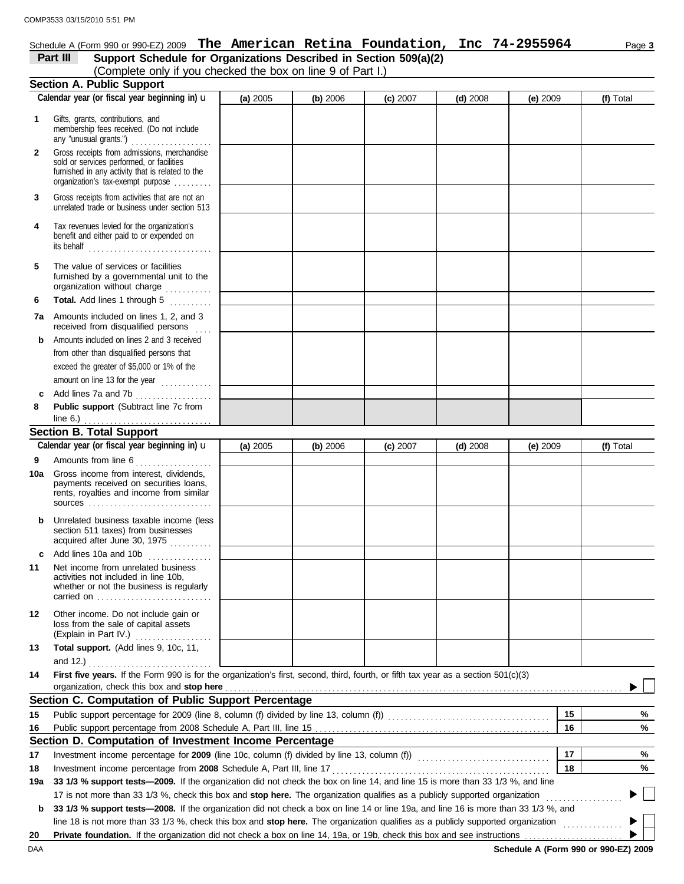#### Schedule A (Form 990 or 990-EZ) 2009 Page **3 The American Retina Foundation, Inc 74-2955964**

| Schedule A (Form 990 or 990-EZ) 2009 T <b>he American Retina Foundation, Inc</b> 74-2955964              |          |          |          |            |          |           |
|----------------------------------------------------------------------------------------------------------|----------|----------|----------|------------|----------|-----------|
| Part III<br>Support Schedule for Organizations Described in Section 509(a)(2)                            |          |          |          |            |          |           |
| (Complete only if you checked the box on line 9 of Part I.)                                              |          |          |          |            |          |           |
| <b>Section A. Public Support</b>                                                                         |          |          |          |            |          |           |
| Calendar year (or fiscal year beginning in) $\mathbf u$                                                  | (a) 2005 | (b) 2006 | (c) 2007 | $(d)$ 2008 | (e) 2009 | (f) Total |
| Gifts, grants, contributions, and<br>membership fees received. (Do not include<br>any "unusual grants.") |          |          |          |            |          |           |
| Gross receipts from admissions, merchandise                                                              |          |          |          |            |          |           |

|                | <b>Section B. Total Support</b>                                                                                                                                                   |  |  |  |
|----------------|-----------------------------------------------------------------------------------------------------------------------------------------------------------------------------------|--|--|--|
| 8              | <b>Public support</b> (Subtract line 7c from                                                                                                                                      |  |  |  |
| c              | Add lines 7a and 7b [1] [1] [1] Add lines 7a and 7b                                                                                                                               |  |  |  |
|                | amount on line 13 for the year                                                                                                                                                    |  |  |  |
|                | exceed the greater of \$5,000 or 1% of the                                                                                                                                        |  |  |  |
|                | from other than disqualified persons that                                                                                                                                         |  |  |  |
| b.             | Amounts included on lines 2 and 3 received                                                                                                                                        |  |  |  |
| 7a             | Amounts included on lines 1, 2, and 3<br>received from disqualified persons<br>a a a an                                                                                           |  |  |  |
| 6              | Total. Add lines 1 through 5                                                                                                                                                      |  |  |  |
| 5              | The value of services or facilities<br>furnished by a governmental unit to the<br>organization without charge                                                                     |  |  |  |
| 4              | Tax revenues levied for the organization's<br>benefit and either paid to or expended on                                                                                           |  |  |  |
| 3              | Gross receipts from activities that are not an<br>unrelated trade or business under section 513                                                                                   |  |  |  |
| $\overline{2}$ | Gross receipts from admissions, merchandise<br>sold or services performed, or facilities<br>furnished in any activity that is related to the<br>organization's tax-exempt purpose |  |  |  |

|         | Calendar year (or fiscal year beginning in) $\mathbf u$                                                                                                                               | (a) 2005 | (b) 2006 | (c) 2007 | $(d)$ 2008 | (e) 2009 | (f) Total |
|---------|---------------------------------------------------------------------------------------------------------------------------------------------------------------------------------------|----------|----------|----------|------------|----------|-----------|
| 9       | Amounts from line 6                                                                                                                                                                   |          |          |          |            |          |           |
| 10a     | Gross income from interest, dividends,<br>payments received on securities loans,<br>rents, royalties and income from similar                                                          |          |          |          |            |          |           |
| b       | Unrelated business taxable income (less<br>section 511 taxes) from businesses<br>acquired after June 30, 1975                                                                         |          |          |          |            |          |           |
| c       | Add lines 10a and 10b                                                                                                                                                                 |          |          |          |            |          |           |
| 11      | Net income from unrelated business<br>activities not included in line 10b.<br>whether or not the business is regularly<br>carried on $\ldots, \ldots, \ldots, \ldots, \ldots, \ldots$ |          |          |          |            |          |           |
| $12 \,$ | Other income. Do not include gain or<br>loss from the sale of capital assets<br>(Explain in Part IV.)<br>.                                                                            |          |          |          |            |          |           |
| 13      | Total support. (Add lines 9, 10c, 11,                                                                                                                                                 |          |          |          |            |          |           |
|         | and 12.)                                                                                                                                                                              |          |          |          |            |          |           |
| 14      | First five years. If the Form 990 is for the organization's first, second, third, fourth, or fifth tax year as a section 501(c)(3)                                                    |          |          |          |            |          |           |
|         | Section C. Computation of Public Support Percentage                                                                                                                                   |          |          |          |            |          |           |
| 15      | Public support percentage for 2009 (line 8, column (f) divided by line 13, column (f)) [[[[[[[[[[[[[[[[[[[[[[                                                                         |          |          |          |            | 15       | %         |
| 16      |                                                                                                                                                                                       |          |          |          |            | 16       | %         |
|         | Section D. Computation of Investment Income Percentage                                                                                                                                |          |          |          |            |          |           |
| 17      |                                                                                                                                                                                       |          |          |          |            | 17       | %         |
| 18      | Investment income percentage from 2008 Schedule A, Part III, line 17                                                                                                                  |          |          |          |            | 18       | %         |
| 19a     | 33 1/3 % support tests-2009. If the organization did not check the box on line 14, and line 15 is more than 33 1/3 %, and line                                                        |          |          |          |            |          |           |
|         | 17 is not more than 33 1/3 %, check this box and stop here. The organization qualifies as a publicly supported organization                                                           |          |          |          |            |          |           |
|         | b 33 1/3 % support tests-2008. If the organization did not check a box on line 14 or line 19a, and line 16 is more than 33 1/3 %, and                                                 |          |          |          |            |          |           |

line 18 is not more than 33 1/3 %, check this box and stop here. The organization qualifies as a publicly supported organization .........

20 **Private foundation.** If the organization did not check a box on line 14, 19a, or 19b, check this box and see instructions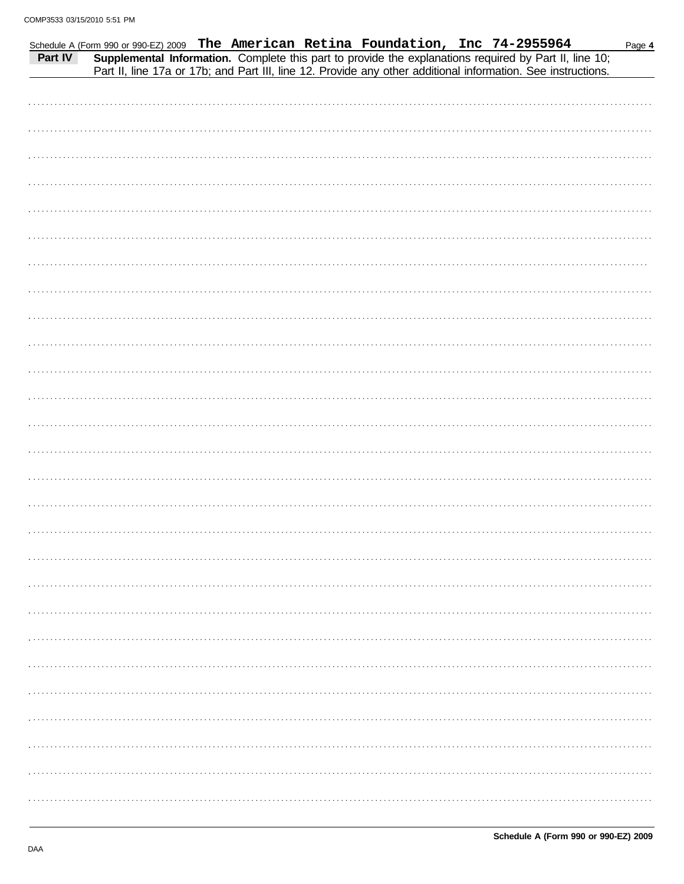|  |  |  | Schedule A (Form 990 or 990-EZ) 2009 The American Retina Foundation, Inc 74-2955964<br>Part IV Supplemental Information. Complete this part to provide the explanations required by Part II, line 10;<br>Part II, line 17a or 17b; and Part III, line 12. Provide any other additional information. See instructions. | Page 4 |
|--|--|--|-----------------------------------------------------------------------------------------------------------------------------------------------------------------------------------------------------------------------------------------------------------------------------------------------------------------------|--------|
|  |  |  |                                                                                                                                                                                                                                                                                                                       |        |
|  |  |  |                                                                                                                                                                                                                                                                                                                       |        |
|  |  |  |                                                                                                                                                                                                                                                                                                                       |        |
|  |  |  |                                                                                                                                                                                                                                                                                                                       |        |
|  |  |  |                                                                                                                                                                                                                                                                                                                       |        |
|  |  |  |                                                                                                                                                                                                                                                                                                                       |        |
|  |  |  |                                                                                                                                                                                                                                                                                                                       |        |
|  |  |  |                                                                                                                                                                                                                                                                                                                       |        |
|  |  |  |                                                                                                                                                                                                                                                                                                                       |        |
|  |  |  |                                                                                                                                                                                                                                                                                                                       |        |
|  |  |  |                                                                                                                                                                                                                                                                                                                       |        |
|  |  |  |                                                                                                                                                                                                                                                                                                                       |        |
|  |  |  |                                                                                                                                                                                                                                                                                                                       |        |
|  |  |  |                                                                                                                                                                                                                                                                                                                       |        |
|  |  |  |                                                                                                                                                                                                                                                                                                                       |        |
|  |  |  |                                                                                                                                                                                                                                                                                                                       |        |
|  |  |  |                                                                                                                                                                                                                                                                                                                       |        |
|  |  |  |                                                                                                                                                                                                                                                                                                                       |        |
|  |  |  |                                                                                                                                                                                                                                                                                                                       |        |
|  |  |  |                                                                                                                                                                                                                                                                                                                       |        |
|  |  |  |                                                                                                                                                                                                                                                                                                                       |        |
|  |  |  |                                                                                                                                                                                                                                                                                                                       |        |
|  |  |  |                                                                                                                                                                                                                                                                                                                       |        |
|  |  |  |                                                                                                                                                                                                                                                                                                                       |        |
|  |  |  |                                                                                                                                                                                                                                                                                                                       |        |
|  |  |  |                                                                                                                                                                                                                                                                                                                       |        |
|  |  |  |                                                                                                                                                                                                                                                                                                                       |        |
|  |  |  |                                                                                                                                                                                                                                                                                                                       |        |
|  |  |  |                                                                                                                                                                                                                                                                                                                       |        |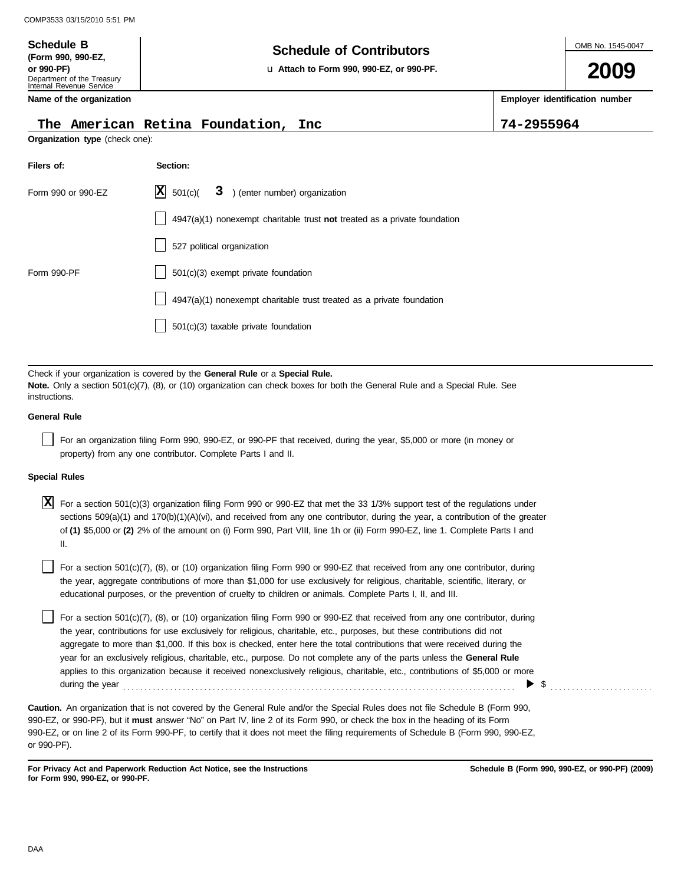**(Form 990, 990-EZ,**

## **Schedule of Contributors Schedule B**

**or 990-PF)** u **Attach to Form 990, 990-EZ, or 990-PF.**

## **2009**

**Employer identification number**

Department of the Treasury Internal Revenue Service **Name of the organization**

#### **The American Retina Foundation, Inc 74-2955964**

**Organization type** (check one):

| Filers of:         | Section:                                                                    |
|--------------------|-----------------------------------------------------------------------------|
| Form 990 or 990-EZ | $\vert$ <b>X</b> 501(c)(<br>3 ) (enter number) organization                 |
|                    | $4947(a)(1)$ nonexempt charitable trust not treated as a private foundation |
|                    | 527 political organization                                                  |
| Form 990-PF        | $501(c)(3)$ exempt private foundation                                       |
|                    | 4947(a)(1) nonexempt charitable trust treated as a private foundation       |
|                    | $501(c)(3)$ taxable private foundation                                      |
|                    |                                                                             |

Check if your organization is covered by the **General Rule** or a **Special Rule. Note.** Only a section 501(c)(7), (8), or (10) organization can check boxes for both the General Rule and a Special Rule. See instructions.

#### **General Rule**

For an organization filing Form 990, 990-EZ, or 990-PF that received, during the year, \$5,000 or more (in money or property) from any one contributor. Complete Parts I and II.

#### **Special Rules**

For a section 501(c)(3) organization filing Form 990 or 990-EZ that met the 33 1/3% support test of the regulations under **X** sections 509(a)(1) and 170(b)(1)(A)(vi), and received from any one contributor, during the year, a contribution of the greater of **(1)** \$5,000 or **(2)** 2% of the amount on (i) Form 990, Part VIII, line 1h or (ii) Form 990-EZ, line 1. Complete Parts I and II.

educational purposes, or the prevention of cruelty to children or animals. Complete Parts I, II, and III. For a section 501(c)(7), (8), or (10) organization filing Form 990 or 990-EZ that received from any one contributor, during the year, aggregate contributions of more than \$1,000 for use exclusively for religious, charitable, scientific, literary, or

For a section 501(c)(7), (8), or (10) organization filing Form 990 or 990-EZ that received from any one contributor, during the year, contributions for use exclusively for religious, charitable, etc., purposes, but these contributions did not aggregate to more than \$1,000. If this box is checked, enter here the total contributions that were received during the year for an exclusively religious, charitable, etc., purpose. Do not complete any of the parts unless the **General Rule** applies to this organization because it received nonexclusively religious, charitable, etc., contributions of \$5,000 or more during the year . . . . . . . . . . . . . . . . . . . . . . . . . . . . . . . . . . . . . . . . . . . . . . . . . . . . . . . . . . . . . . . . . . . . . . . . . . . . . . . . . . . . . . . . . . . . \$ . . . . . . . . . . . . . . . . . . . . . . . .

990-EZ, or 990-PF), but it **must** answer "No" on Part IV, line 2 of its Form 990, or check the box in the heading of its Form 990-EZ, or on line 2 of its Form 990-PF, to certify that it does not meet the filing requirements of Schedule B (Form 990, 990-EZ, **Caution.** An organization that is not covered by the General Rule and/or the Special Rules does not file Schedule B (Form 990, or 990-PF).

**For Privacy Act and Paperwork Reduction Act Notice, see the Instructions for Form 990, 990-EZ, or 990-PF.**

**Schedule B (Form 990, 990-EZ, or 990-PF) (2009)**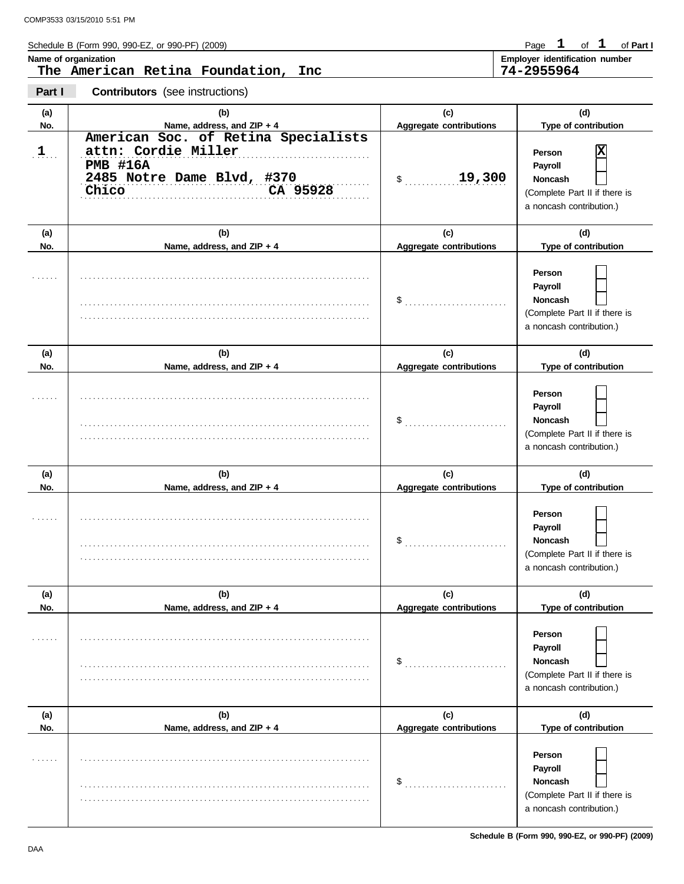Schedule B (Form 990, 990-EZ, or 990-PF) (2009)

Page 1 of 1 of Part I

|  | The American Retina Foundation, I |  |
|--|-----------------------------------|--|

**Name of organization Employer identification number The American Retina Foundation, Inc 74-2955964**

**Part I Contributors** (see instructions)

| (a)        | (b)                                                                                                                              | (c)                                   | (d)                                                                                                   |
|------------|----------------------------------------------------------------------------------------------------------------------------------|---------------------------------------|-------------------------------------------------------------------------------------------------------|
| No.        | Name, address, and ZIP + 4                                                                                                       | <b>Aggregate contributions</b>        | Type of contribution                                                                                  |
| $\cdot$ 1. | American Soc. of Retina Specialists<br>attn: Cordie Miller<br><b>PMB #16A</b><br>2485 Notre Dame Blvd, #370<br>CA 95928<br>Chico | 19,300<br>$\mathsf S$                 | Χ<br>Person<br>Payroll<br><b>Noncash</b><br>(Complete Part II if there is<br>a noncash contribution.) |
| (a)        | (b)                                                                                                                              | (c)                                   | (d)                                                                                                   |
| No.        | Name, address, and ZIP + 4                                                                                                       | Aggregate contributions               | Type of contribution                                                                                  |
|            |                                                                                                                                  |                                       | Person<br>Payroll<br><b>Noncash</b><br>(Complete Part II if there is<br>a noncash contribution.)      |
| (a)        | (b)                                                                                                                              | (c)                                   | (d)                                                                                                   |
| No.        | Name, address, and ZIP + 4                                                                                                       | <b>Aggregate contributions</b>        | Type of contribution                                                                                  |
|            |                                                                                                                                  |                                       | Person<br>Payroll<br><b>Noncash</b><br>(Complete Part II if there is<br>a noncash contribution.)      |
| (a)<br>No. | (b)<br>Name, address, and ZIP + 4                                                                                                | (c)<br><b>Aggregate contributions</b> | (d)<br>Type of contribution                                                                           |
|            |                                                                                                                                  | $\$\quad$                             | Person<br>Payroll<br><b>Noncash</b><br>(Complete Part II if there is<br>a noncash contribution.)      |
| (a)        | (b)                                                                                                                              | (c)                                   | (d)                                                                                                   |
| No.        | Name, address, and ZIP + 4                                                                                                       | <b>Aggregate contributions</b>        | Type of contribution                                                                                  |
| .          |                                                                                                                                  | $\frac{1}{2}$                         | Person<br>Payroll<br><b>Noncash</b><br>(Complete Part II if there is<br>a noncash contribution.)      |
| (a)        | (b)                                                                                                                              | (c)                                   | (d)                                                                                                   |
| No.        | Name, address, and ZIP + 4                                                                                                       | <b>Aggregate contributions</b>        | Type of contribution                                                                                  |
|            |                                                                                                                                  | \$                                    | Person<br>Payroll<br>Noncash<br>(Complete Part II if there is<br>a noncash contribution.)             |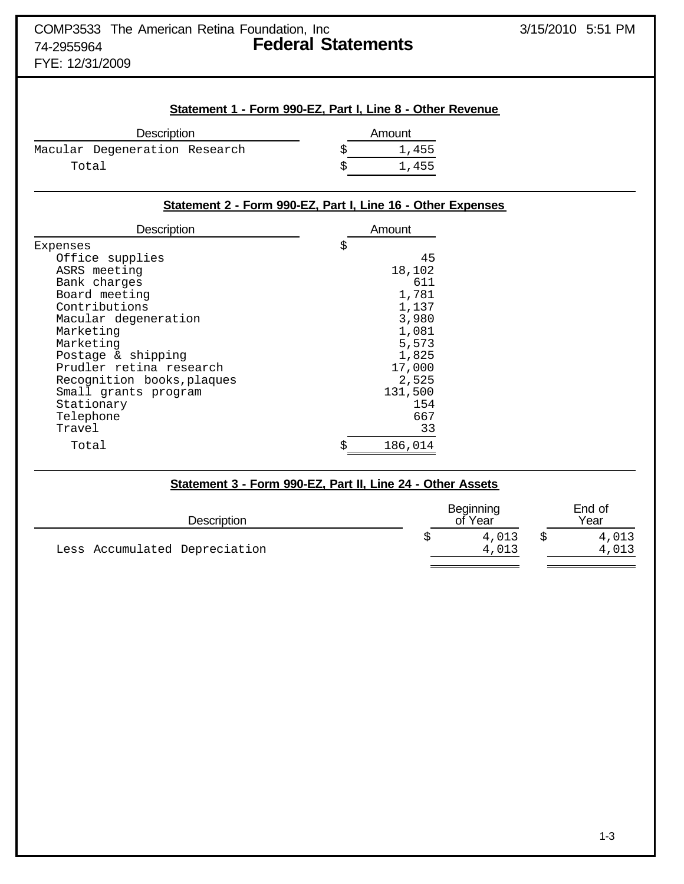FYE: 12/31/2009

#### **Statement 1 - Form 990-EZ, Part I, Line 8 - Other Revenue**

| Amount |
|--------|
| 1,455  |
| 1,455  |
|        |

#### **Statement 2 - Form 990-EZ, Part I, Line 16 - Other Expenses**

| Description                | Amount        |  |
|----------------------------|---------------|--|
| Expenses                   | \$            |  |
| Office supplies            | 45            |  |
| ASRS meeting               | 18,102        |  |
| Bank charges               | 611           |  |
| Board meeting              | 1,781         |  |
| Contributions              | 1,137         |  |
| Macular degeneration       | 3,980         |  |
| Marketing                  | 1,081         |  |
| Marketing                  | 5,573         |  |
| Postage & shipping         | 1,825         |  |
| Prudler retina research    | 17,000        |  |
| Recognition books, plaques | 2,525         |  |
| Small grants program       | 131,500       |  |
| Stationary                 | 154           |  |
| Telephone                  | 667           |  |
| Travel                     | 33            |  |
| Total                      | \$<br>186,014 |  |

| Statement 3 - Form 990-EZ, Part II, Line 24 - Other Assets |  |                      |  |                |  |  |
|------------------------------------------------------------|--|----------------------|--|----------------|--|--|
| Description                                                |  | Beginning<br>of Year |  | End of<br>Year |  |  |
| Less Accumulated Depreciation                              |  | 4,013<br>4,013       |  | 4,013<br>4,013 |  |  |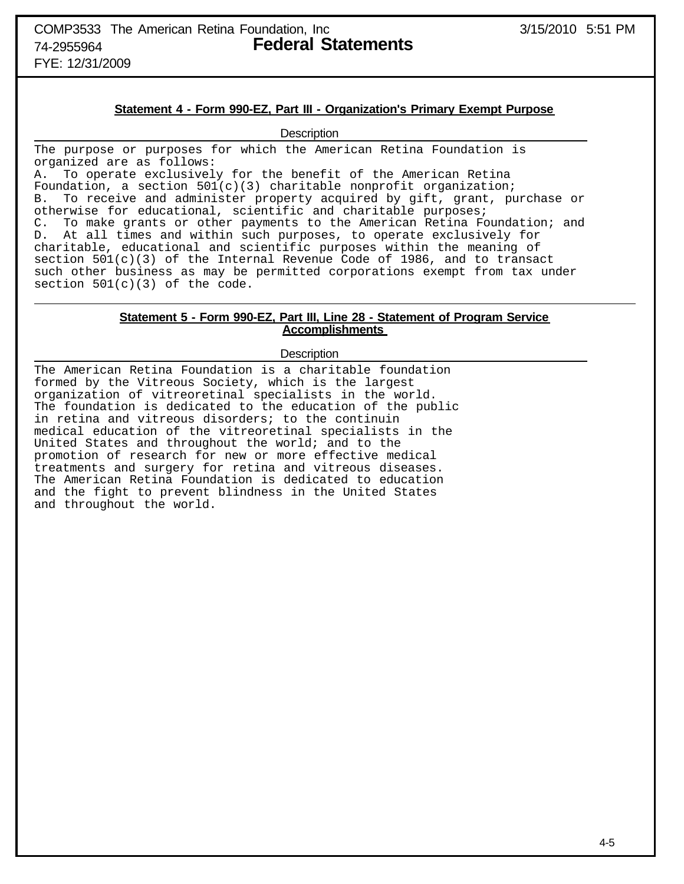COMP3533 The American Retina Foundation, Inc  $3/15/2010$  5:51 PM 74-2955964 **Federal Statements**

FYE: 12/31/2009

#### **Statement 4 - Form 990-EZ, Part III - Organization's Primary Exempt Purpose**

**Description** 

The purpose or purposes for which the American Retina Foundation is organized are as follows:

A. To operate exclusively for the benefit of the American Retina Foundation, a section 501(c)(3) charitable nonprofit organization; B. To receive and administer property acquired by gift, grant, purchase or otherwise for educational, scientific and charitable purposes; C. To make grants or other payments to the American Retina Foundation; and D. At all times and within such purposes, to operate exclusively for charitable, educational and scientific purposes within the meaning of section  $501(c)(3)$  of the Internal Revenue Code of 1986, and to transact such other business as may be permitted corporations exempt from tax under section  $501(c)(3)$  of the code.

#### **Statement 5 - Form 990-EZ, Part III, Line 28 - Statement of Program Service Accomplishments**

#### **Description**

The American Retina Foundation is a charitable foundation formed by the Vitreous Society, which is the largest organization of vitreoretinal specialists in the world. The foundation is dedicated to the education of the public in retina and vitreous disorders; to the continuin medical education of the vitreoretinal specialists in the United States and throughout the world; and to the promotion of research for new or more effective medical treatments and surgery for retina and vitreous diseases. The American Retina Foundation is dedicated to education and the fight to prevent blindness in the United States and throughout the world.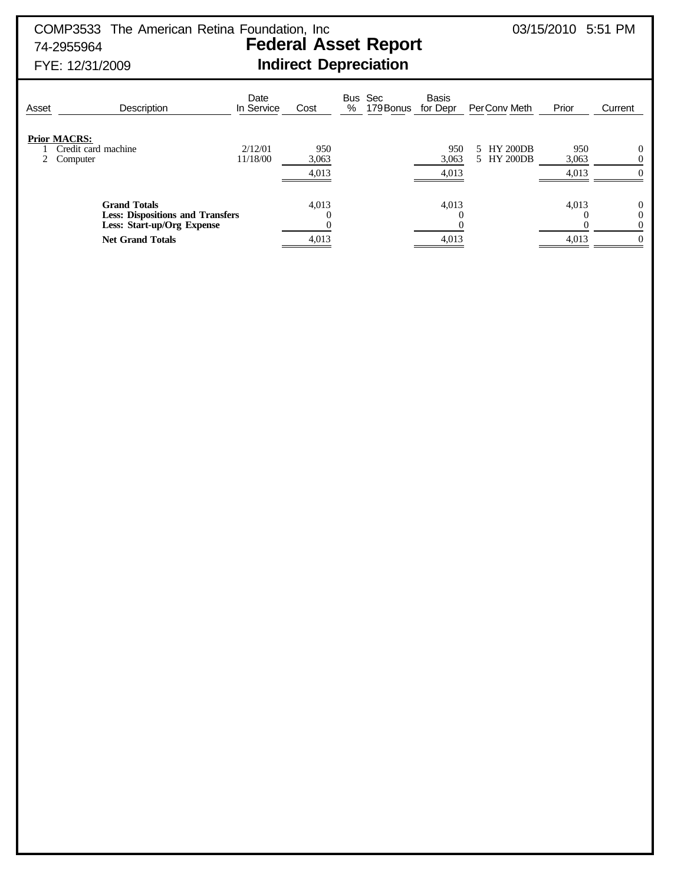## COMP3533 The American Retina Foundation, Inc 03/15/2010 5:51 PM 74-2955964 **Federal Asset Report**

# FYE: 12/31/2009 **Indirect Depreciation**

Date Bus Sec Basis<br>In Service Cost % 179 Bonus for Dep Asset Description In Service Cost % 179 Bonus for Depr PerConv Meth Prior Current **Prior MACRS:** 1 Credit card machine 2/12/01 950 950 950 5 HY 200DB 950 0<br>2 Computer 11/18/00 3,063 950 950 950 950 950 950 0 5 HY 200DB 4,013 4,013 4,013 0 **Grand Totals 4,013** 4,013 4,013 4,013 **1,013 1,013 1,013 1,013 1,013 1,013 1,013 1,013 1,013 1,013 1,013 1,013 1,013 1,013 1,013 1,013 1,013 1,013 1,013 1,013 1,013 1,013 1,01 Less: Dispositions and Transfers**  $\hspace{1.6cm}0\hspace{1.6cm}0\hspace{1.6cm}0\hspace{1.6cm}0\hspace{1.6cm}0$ **Less: Start-up/Org Expense** 0 0 0 0 **Net Grand Totals 4,013** 4,013 4,013 4,013 **4,013** 4,013 4,013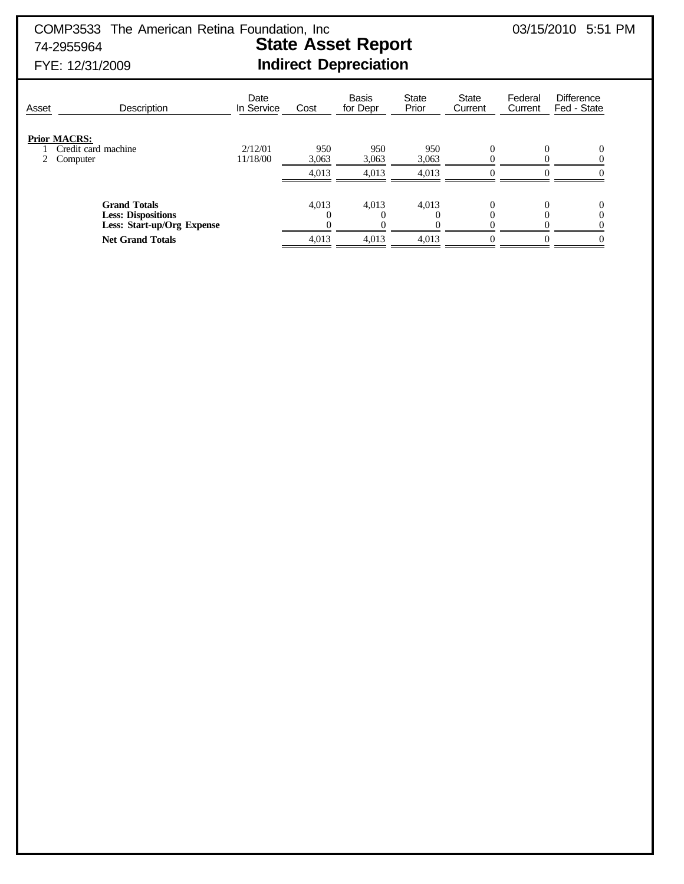COMP3533 The American Retina Foundation, Inc  $03/15/2010$  5:51 PM 74-2955964 **State Asset Report**

# FYE: 12/31/2009 **Indirect Depreciation**

| Asset | Description                                                                                               | Date<br>In Service  | Cost                  | <b>Basis</b><br>for Depr | <b>State</b><br>Prior | <b>State</b><br>Current | Federal<br>Current | <b>Difference</b><br>Fed - State |
|-------|-----------------------------------------------------------------------------------------------------------|---------------------|-----------------------|--------------------------|-----------------------|-------------------------|--------------------|----------------------------------|
|       | <b>Prior MACRS:</b><br>Credit card machine<br>Computer                                                    | 2/12/01<br>11/18/00 | 950<br>3,063<br>4,013 | 950<br>3,063<br>4,013    | 950<br>3,063<br>4,013 | 0                       |                    | 0                                |
|       | <b>Grand Totals</b><br><b>Less: Dispositions</b><br>Less: Start-up/Org Expense<br><b>Net Grand Totals</b> |                     | 4,013<br>0<br>4,013   | 4,013<br>4.013           | 4,013<br>4.013        | $\theta$<br>0           |                    | 0<br>0<br>$\Omega$               |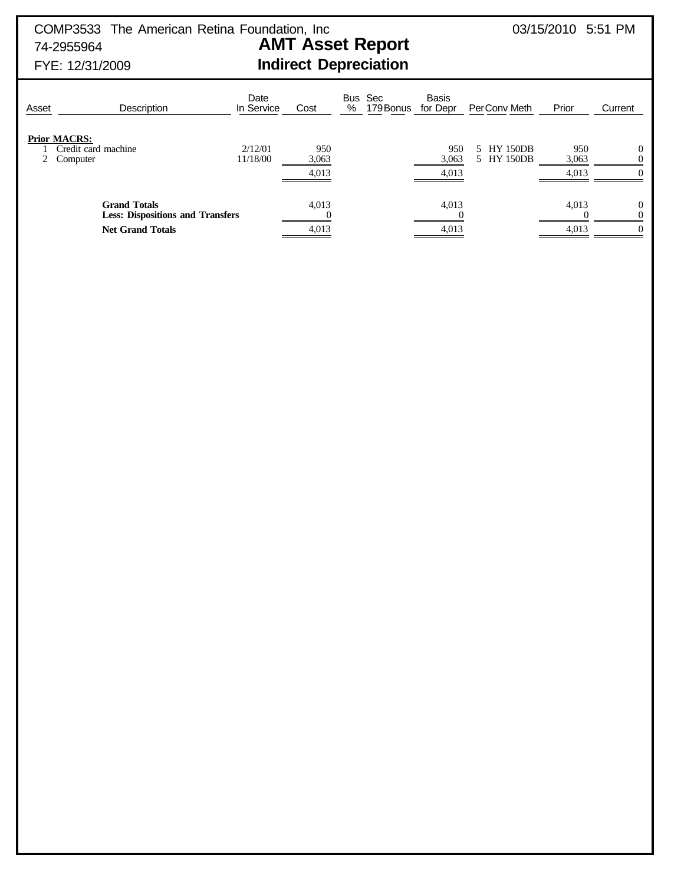COMP3533 The American Retina Foundation, Inc  $03/15/2010$  5:51 PM 74-2955964 **AMT Asset Report**

FYE: 12/31/2009 **Indirect Depreciation**

| Asset | <b>Description</b>                                                                        | Date<br>In Service  | Cost                  | Bus Sec<br>179 Bonus<br>% | <b>Basis</b><br>for Depr | Per Conv Meth            | Prior                 | Current                          |
|-------|-------------------------------------------------------------------------------------------|---------------------|-----------------------|---------------------------|--------------------------|--------------------------|-----------------------|----------------------------------|
|       | <b>Prior MACRS:</b><br>Credit card machine<br>2 Computer                                  | 2/12/01<br>11/18/00 | 950<br>3,063<br>4,013 |                           | 950<br>3,063<br>4,013    | 5 HY 150DB<br>5 HY 150DB | 950<br>3,063<br>4,013 | 0<br>$\Omega$                    |
|       | <b>Grand Totals</b><br><b>Less: Dispositions and Transfers</b><br><b>Net Grand Totals</b> |                     | 4,013<br>4,013        |                           | 4,013<br>4,013           |                          | 4,013<br>4,013        | $\Omega$<br>$\Omega$<br>$\Omega$ |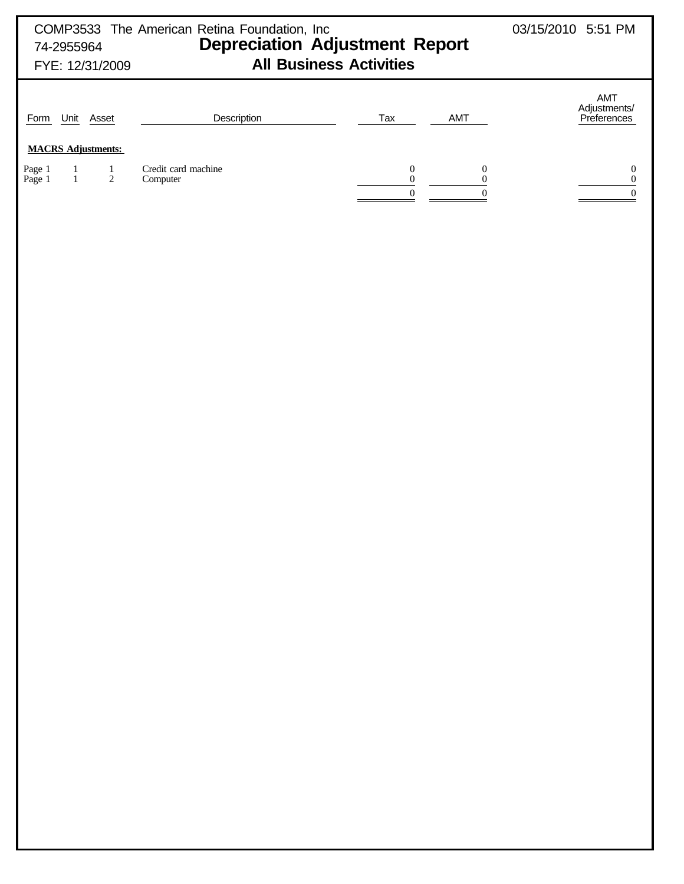| COMP3533 The American Retina Foundation, Inc<br><b>Depreciation Adjustment Report</b><br>74-2955964<br><b>All Business Activities</b><br>FYE: 12/31/2009 |                              |                           |                                 |                                                        |                                                          | 03/15/2010 5:51 PM                               |
|----------------------------------------------------------------------------------------------------------------------------------------------------------|------------------------------|---------------------------|---------------------------------|--------------------------------------------------------|----------------------------------------------------------|--------------------------------------------------|
| Form                                                                                                                                                     |                              | Unit Asset                | Description                     | Tax                                                    | AMT                                                      | AMT<br>Adjustments/<br>Preferences               |
|                                                                                                                                                          |                              | <b>MACRS Adjustments:</b> |                                 |                                                        |                                                          |                                                  |
| Page 1<br>Page 1                                                                                                                                         | $\mathbf{1}$<br>$\mathbf{1}$ | $\frac{1}{2}$             | Credit card machine<br>Computer | $\boldsymbol{0}$<br>$\boldsymbol{0}$<br>$\overline{0}$ | $\boldsymbol{0}$<br>$\boldsymbol{0}$<br>$\boldsymbol{0}$ | $\mathbf{0}$<br>$\boldsymbol{0}$<br>$\mathbf{0}$ |
|                                                                                                                                                          |                              |                           |                                 |                                                        |                                                          |                                                  |
|                                                                                                                                                          |                              |                           |                                 |                                                        |                                                          |                                                  |
|                                                                                                                                                          |                              |                           |                                 |                                                        |                                                          |                                                  |
|                                                                                                                                                          |                              |                           |                                 |                                                        |                                                          |                                                  |
|                                                                                                                                                          |                              |                           |                                 |                                                        |                                                          |                                                  |
|                                                                                                                                                          |                              |                           |                                 |                                                        |                                                          |                                                  |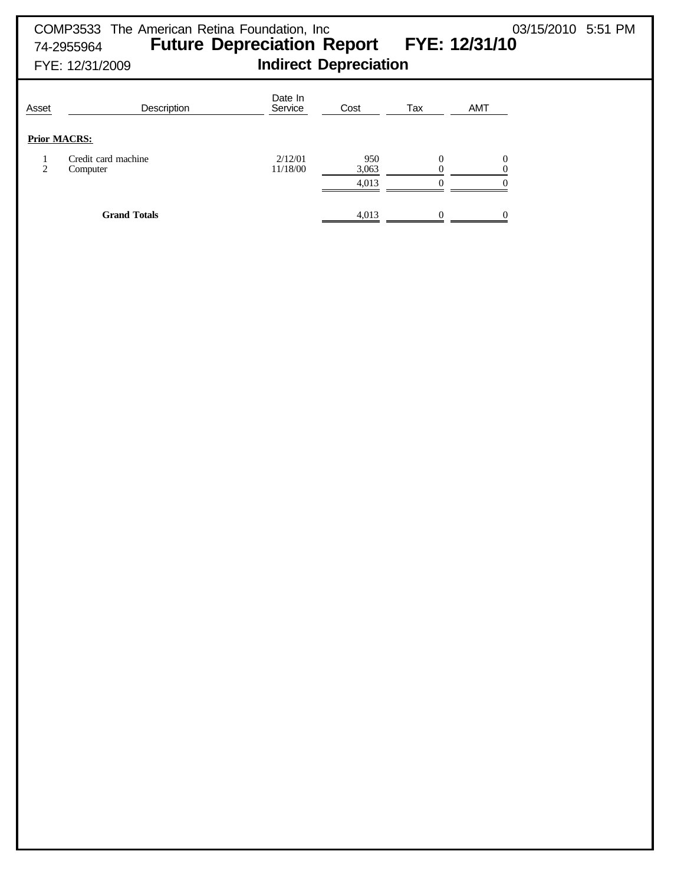## COMP3533 The American Retina Foundation, Inc  $03/15/2010$  5:51 PM 74-2955964 **Future Depreciation Report FYE: 12/31/10** FYE: 12/31/2009 **Indirect Depreciation** Date In<br>Service Asset **Description** Description **Service** Cost Tax AMT

|--|

|   | Prior MACRS:                    |                     |              |  |
|---|---------------------------------|---------------------|--------------|--|
| ↑ | Credit card machine<br>Computer | 2/12/01<br>11/18/00 | 950<br>3,063 |  |
|   |                                 |                     | 4,013        |  |
|   | <b>Grand Totals</b>             |                     | 4,013        |  |